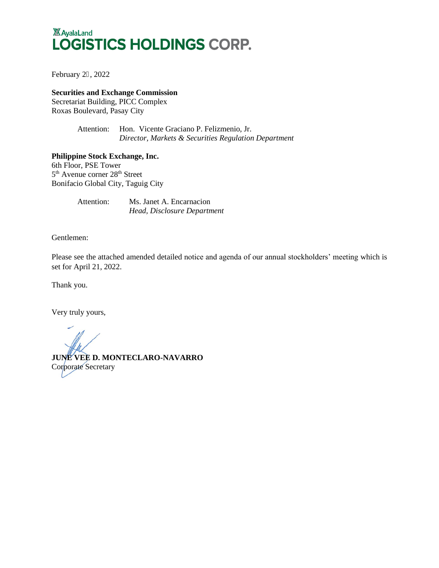# **XX** AyalaLand LOGISTICS HOLDINGS CORP.

February 26, 2022

**Securities and Exchange Commission**

Secretariat Building, PICC Complex Roxas Boulevard, Pasay City

> Attention: Hon. Vicente Graciano P. Felizmenio, Jr.  *Director, Markets & Securities Regulation Department*

**Philippine Stock Exchange, Inc.** 6th Floor, PSE Tower 5<sup>th</sup> Avenue corner 28<sup>th</sup> Street Bonifacio Global City, Taguig City

> Attention: Ms. Janet A. Encarnacion *Head, Disclosure Department*

Gentlemen:

Please see the attached amended detailed notice and agenda of our annual stockholders' meeting which is set for April 21, 2022.

Thank you.

Very truly yours,

**JUNE VEE D. MONTECLARO-NAVARRO** Corporate Secretary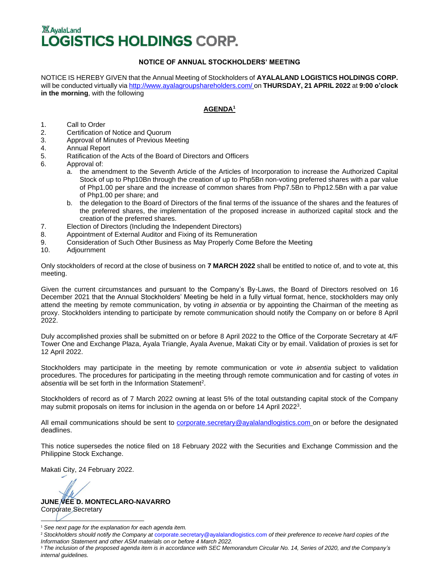# **XX AvalaLand LOGISTICS HOLDINGS CORP.**

# **NOTICE OF ANNUAL STOCKHOLDERS' MEETING**

NOTICE IS HEREBY GIVEN that the Annual Meeting of Stockholders of **AYALALAND LOGISTICS HOLDINGS CORP.**  will be conducted virtually via <http://www.ayalagroupshareholders.com/> on **THURSDAY, 21 APRIL 2022** at **9:00 o'clock in the morning**, with the following

# **AGENDA<sup>1</sup>**

- 1. Call to Order
- 2. Certification of Notice and Quorum
- 3. Approval of Minutes of Previous Meeting
- 4. Annual Report
- 5. Ratification of the Acts of the Board of Directors and Officers
- 6. Approval of:
	- a. the amendment to the Seventh Article of the Articles of Incorporation to increase the Authorized Capital Stock of up to Php10Bn through the creation of up to Php5Bn non-voting preferred shares with a par value of Php1.00 per share and the increase of common shares from Php7.5Bn to Php12.5Bn with a par value of Php1.00 per share; and
	- b. the delegation to the Board of Directors of the final terms of the issuance of the shares and the features of the preferred shares, the implementation of the proposed increase in authorized capital stock and the creation of the preferred shares.
- 7. Election of Directors (Including the Independent Directors)
- 8. Appointment of External Auditor and Fixing of its Remuneration
- 9. Consideration of Such Other Business as May Properly Come Before the Meeting
- 10. Adjournment

Only stockholders of record at the close of business on **7 MARCH 2022** shall be entitled to notice of, and to vote at, this meeting.

Given the current circumstances and pursuant to the Company's By-Laws, the Board of Directors resolved on 16 December 2021 that the Annual Stockholders' Meeting be held in a fully virtual format, hence, stockholders may only attend the meeting by remote communication, by voting *in absentia* or by appointing the Chairman of the meeting as proxy. Stockholders intending to participate by remote communication should notify the Company on or before 8 April 2022.

Duly accomplished proxies shall be submitted on or before 8 April 2022 to the Office of the Corporate Secretary at 4/F Tower One and Exchange Plaza, Ayala Triangle, Ayala Avenue, Makati City or by email. Validation of proxies is set for 12 April 2022.

Stockholders may participate in the meeting by remote communication or vote *in absentia* subject to validation procedures. The procedures for participating in the meeting through remote communication and for casting of votes *in*  absentia will be set forth in the Information Statement<sup>2</sup>.

Stockholders of record as of 7 March 2022 owning at least 5% of the total outstanding capital stock of the Company may submit proposals on items for inclusion in the agenda on or before 14 April 2022<sup>3</sup>.

All email communications should be sent to [corporate.secretary@ayalalandlogistics.com](mailto:corporate.secretary@ayalalandlogistics.com) on or before the designated deadlines.

This notice supersedes the notice filed on 18 February 2022 with the Securities and Exchange Commission and the Philippine Stock Exchange.

Makati City, 24 February 2022.

**JUNE VEE D. MONTECLARO-NAVARRO**

Corporate Secretary

<sup>1</sup> *See next page for the explanation for each agenda item.*

<sup>2</sup> *Stockholders should notify the Company at* [corporate.secretary@ayalalandlogistics.com](mailto:corporate.secretary@ayalalandlogistics.com) *of their preference to receive hard copies of the Information Statement and other ASM materials on or before 4 March 2022.*

<sup>&</sup>lt;sup>3</sup> The inclusion of the proposed agenda item is in accordance with SEC Memorandum Circular No. 14, Series of 2020, and the Company's *internal guidelines.*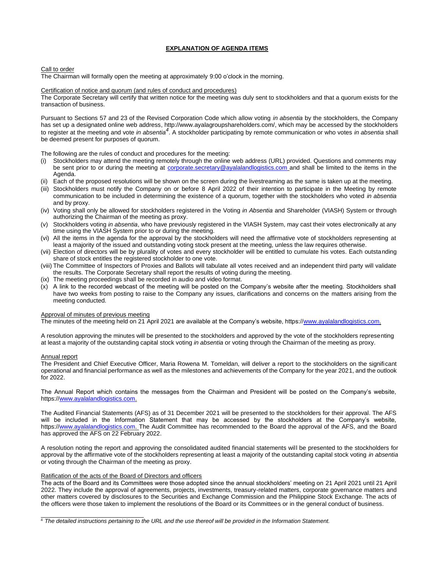# **EXPLANATION OF AGENDA ITEMS**

### Call to order

The Chairman will formally open the meeting at approximately 9:00 o'clock in the morning.

# Certification of notice and quorum (and rules of conduct and procedures)

The Corporate Secretary will certify that written notice for the meeting was duly sent to stockholders and that a quorum exists for the transaction of business.

Pursuant to Sections 57 and 23 of the Revised Corporation Code which allow voting *in absentia* by the stockholders, the Company has set up a designated online web address, http://www.ayalagroupshareholders.com/, which may be accessed by the stockholders to register at the meeting and vote *in absentia<sup>4</sup>* . A stockholder participating by remote communication or who votes *in absentia* shall be deemed present for purposes of quorum.

The following are the rules of conduct and procedures for the meeting:

- (i) Stockholders may attend the meeting remotely through the online web address (URL) provided. Questions and comments may be sent prior to or during the meeting at [corporate.secretary@ayalalandlogistics.com](mailto:corporate.secretary@ayalalandlogistics.com) and shall be limited to the items in the Agenda.
- (ii) Each of the proposed resolutions will be shown on the screen during the livestreaming as the same is taken up at the meeting.
- (iii) Stockholders must notify the Company on or before 8 April 2022 of their intention to participate in the Meeting by remote communication to be included in determining the existence of a quorum, together with the stockholders who voted *in absentia* and by proxy.
- (iv) Voting shall only be allowed for stockholders registered in the Voting *in Absentia* and Shareholder (VIASH) System or through authorizing the Chairman of the meeting as proxy.
- (v) Stockholders voting *in absentia*, who have previously registered in the VIASH System, may cast their votes electronically at any time using the VIASH System prior to or during the meeting.
- (vi) All the items in the agenda for the approval by the stockholders will need the affirmative vote of stockholders representing at least a majority of the issued and outstanding voting stock present at the meeting, unless the law requires otherwise.
- (vii) Election of directors will be by plurality of votes and every stockholder will be entitled to cumulate his votes. Each outstanding share of stock entitles the registered stockholder to one vote.
- (viii) The Committee of Inspectors of Proxies and Ballots will tabulate all votes received and an independent third party will validate the results. The Corporate Secretary shall report the results of voting during the meeting.
- (ix) The meeting proceedings shall be recorded in audio and video format.
- (x) A link to the recorded webcast of the meeting will be posted on the Company's website after the meeting. Stockholders shall have two weeks from posting to raise to the Company any issues, clarifications and concerns on the matters arising from the meeting conducted.

#### Approval of minutes of previous meeting

The minutes of the meeting held on 21 April 2021 are available at the Company's website, https:/[/www.ayalalandlogistics.com.](http://www.ayalalandlogistics.com/)

A resolution approving the minutes will be presented to the stockholders and approved by the vote of the stockholders representing at least a majority of the outstanding capital stock voting *in absentia* or voting through the Chairman of the meeting as proxy.

#### Annual report

The President and Chief Executive Officer, Maria Rowena M. Tomeldan, will deliver a report to the stockholders on the significant operational and financial performance as well as the milestones and achievements of the Company for the year 2021, and the outlook for 2022.

The Annual Report which contains the messages from the Chairman and President will be posted on the Company's website, https:/[/www.ayalalandlogistics.com.](http://www.ayalalandlogistics.com/)

The Audited Financial Statements (AFS) as of 31 December 2021 will be presented to the stockholders for their approval. The AFS will be included in the Information Statement that may be accessed by the stockholders at the Company's website, https:/[/www.ayalalandlogistics.com. T](http://www.ayalalandlogistics.com/)he Audit Committee has recommended to the Board the approval of the AFS, and the Board has approved the AFS on 22 February 2022.

A resolution noting the report and approving the consolidated audited financial statements will be presented to the stockholders for approval by the affirmative vote of the stockholders representing at least a majority of the outstanding capital stock voting *in absentia* or voting through the Chairman of the meeting as proxy.

### Ratification of the acts of the Board of Directors and officers

The acts of the Board and its Committees were those adopted since the annual stockholders' meeting on 21 April 2021 until 21 April 2022. They include the approval of agreements, projects, investments, treasury-related matters, corporate governance matters and other matters covered by disclosures to the Securities and Exchange Commission and the Philippine Stock Exchange. The acts of the officers were those taken to implement the resolutions of the Board or its Committees or in the general conduct of business.

<sup>&</sup>lt;sup>4</sup> The detailed instructions pertaining to the URL and the use thereof will be provided in the Information Statement.